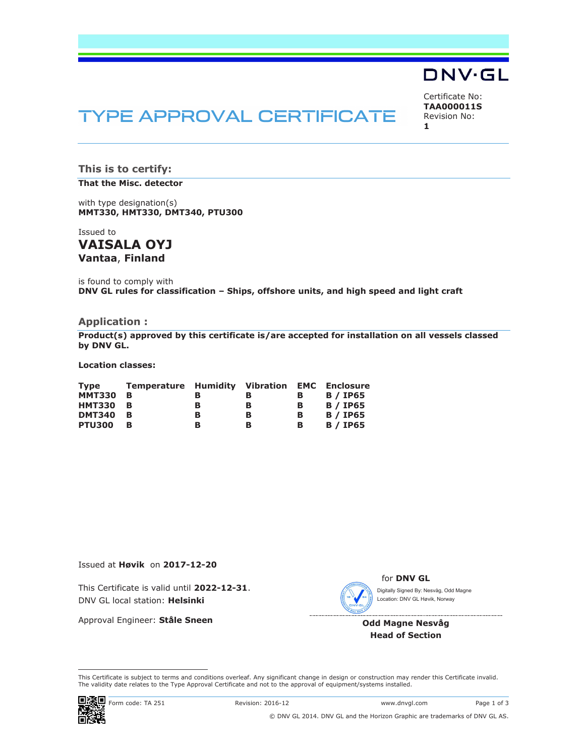

# **TYPE APPROVAL CERTIFICATE**

Certificate No: **TAA000011S** Revision No: **1** 

**This is to certify:** 

#### **That the Misc. detector**

with type designation(s) **MMT330, HMT330, DMT340, PTU300**

Issued to **VAISALA OYJ** 

**Vantaa**, **Finland** 

is found to comply with **DNV GL rules for classification – Ships, offshore units, and high speed and light craft** 

## **Application :**

**Product(s) approved by this certificate is/are accepted for installation on all vessels classed by DNV GL.** 

**Location classes:** 

| Tvpe          | <b>Temperature Humidity Vibration EMC Enclosure</b> |   |   |   |                 |
|---------------|-----------------------------------------------------|---|---|---|-----------------|
| <b>MMT330</b> | - B                                                 | в | в | в | <b>B</b> / IP65 |
| <b>HMT330</b> | - B                                                 | в | в | в | <b>B</b> / IP65 |
| <b>DMT340</b> | - B                                                 | в | в | в | <b>B</b> / IP65 |
| <b>PTU300</b> | в                                                   | в | в | в | <b>B</b> / IP65 |

Issued at **Høvik** on **2017-12-20**

This Certificate is valid until **2022-12-31**. DNV GL local station: **Helsinki**

Approval Engineer: **Ståle Sneen**



for **DNV GL** Digitally Signed By: Nesvåg, Odd Magne Location: DNV GL Høvik, Norway

**Odd Magne Nesvåg Head of Section** 

 This Certificate is subject to terms and conditions overleaf. Any significant change in design or construction may render this Certificate invalid. The validity date relates to the Type Approval Certificate and not to the approval of equipment/systems installed.

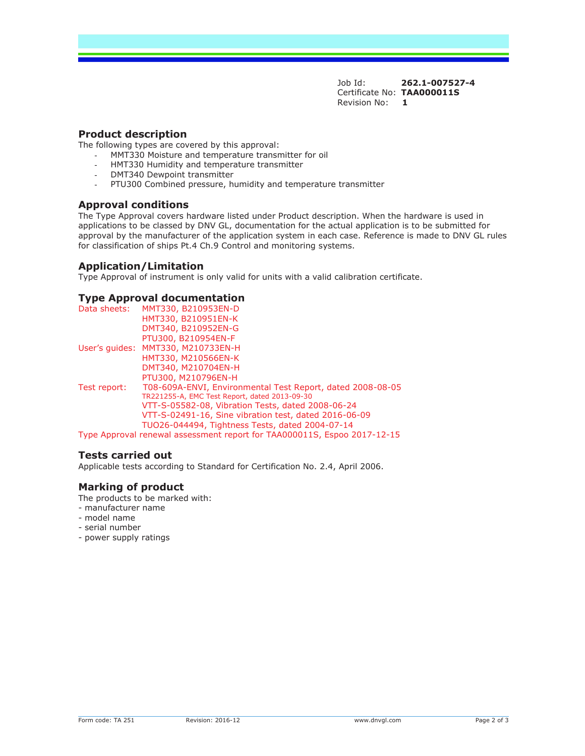Job Id: **262.1-007527-4**  Certificate No: **TAA000011S** Revision No: **1** 

## **Product description**

The following types are covered by this approval:

- MMT330 Moisture and temperature transmitter for oil
- HMT330 Humidity and temperature transmitter
- DMT340 Dewpoint transmitter
- PTU300 Combined pressure, humidity and temperature transmitter

#### **Approval conditions**

The Type Approval covers hardware listed under Product description. When the hardware is used in applications to be classed by DNV GL, documentation for the actual application is to be submitted for approval by the manufacturer of the application system in each case. Reference is made to DNV GL rules for classification of ships Pt.4 Ch.9 Control and monitoring systems.

#### **Application/Limitation**

Type Approval of instrument is only valid for units with a valid calibration certificate.

#### **Type Approval documentation**

| Data sheets: | MMT330, B210953EN-D                                                      |
|--------------|--------------------------------------------------------------------------|
|              | HMT330, B210951EN-K                                                      |
|              | DMT340, B210952EN-G                                                      |
|              | PTU300, B210954EN-F                                                      |
|              | User's quides: MMT330, M210733EN-H                                       |
|              | HMT330, M210566EN-K                                                      |
|              | DMT340, M210704EN-H                                                      |
|              | PTU300, M210796EN-H                                                      |
| Test report: | T08-609A-ENVI, Environmental Test Report, dated 2008-08-05               |
|              | TR221255-A, EMC Test Report, dated 2013-09-30                            |
|              | VTT-S-05582-08, Vibration Tests, dated 2008-06-24                        |
|              | VTT-S-02491-16, Sine vibration test, dated 2016-06-09                    |
|              | TUO26-044494, Tightness Tests, dated 2004-07-14                          |
|              | Type Approval renewal assessment report for TAA000011S, Espoo 2017-12-15 |

## **Tests carried out**

Applicable tests according to Standard for Certification No. 2.4, April 2006.

#### **Marking of product**

The products to be marked with:

- manufacturer name
- model name
- serial number
- power supply ratings